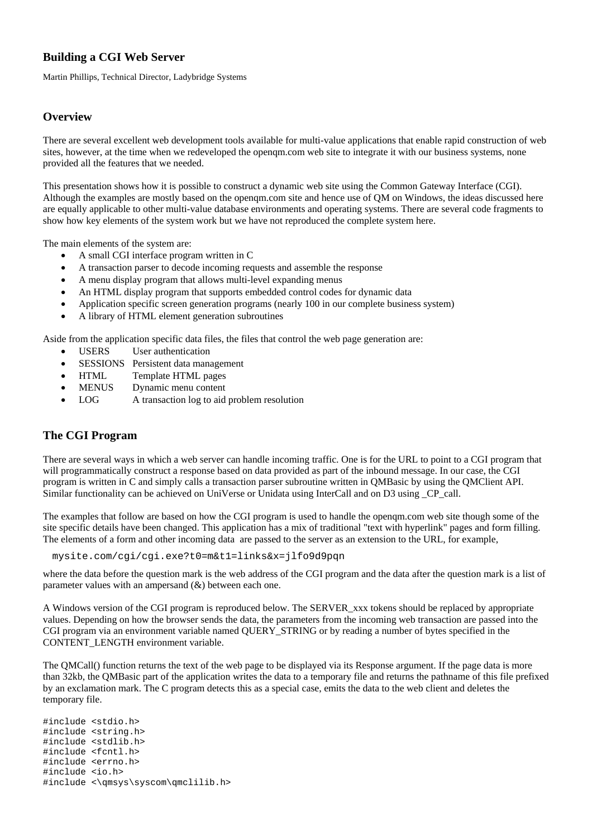# **Building a CGI Web Server**

Martin Phillips, Technical Director, Ladybridge Systems

# **Overview**

There are several excellent web development tools available for multi-value applications that enable rapid construction of web sites, however, at the time when we redeveloped the openqm.com web site to integrate it with our business systems, none provided all the features that we needed.

This presentation shows how it is possible to construct a dynamic web site using the Common Gateway Interface (CGI). Although the examples are mostly based on the openqm.com site and hence use of QM on Windows, the ideas discussed here are equally applicable to other multi-value database environments and operating systems. There are several code fragments to show how key elements of the system work but we have not reproduced the complete system here.

The main elements of the system are:

- A small CGI interface program written in C
- A transaction parser to decode incoming requests and assemble the response
- A menu display program that allows multi-level expanding menus
- An HTML display program that supports embedded control codes for dynamic data
- Application specific screen generation programs (nearly 100 in our complete business system)
- A library of HTML element generation subroutines

Aside from the application specific data files, the files that control the web page generation are:

- USERS User authentication
- SESSIONS Persistent data management
- HTML Template HTML pages
- MENUS Dynamic menu content
- LOG A transaction log to aid problem resolution

# **The CGI Program**

There are several ways in which a web server can handle incoming traffic. One is for the URL to point to a CGI program that will programmatically construct a response based on data provided as part of the inbound message. In our case, the CGI program is written in C and simply calls a transaction parser subroutine written in QMBasic by using the QMClient API. Similar functionality can be achieved on UniVerse or Unidata using InterCall and on D3 using \_CP\_call.

The examples that follow are based on how the CGI program is used to handle the openqm.com web site though some of the site specific details have been changed. This application has a mix of traditional "text with hyperlink" pages and form filling. The elements of a form and other incoming data are passed to the server as an extension to the URL, for example,

mysite.com/cgi/cgi.exe?t0=m&t1=links&x=jlfo9d9pqn

where the data before the question mark is the web address of the CGI program and the data after the question mark is a list of parameter values with an ampersand  $(\&)$  between each one.

A Windows version of the CGI program is reproduced below. The SERVER\_xxx tokens should be replaced by appropriate values. Depending on how the browser sends the data, the parameters from the incoming web transaction are passed into the CGI program via an environment variable named QUERY\_STRING or by reading a number of bytes specified in the CONTENT\_LENGTH environment variable.

The QMCall() function returns the text of the web page to be displayed via its Response argument. If the page data is more than 32kb, the QMBasic part of the application writes the data to a temporary file and returns the pathname of this file prefixed by an exclamation mark. The C program detects this as a special case, emits the data to the web client and deletes the temporary file.

#include <stdio.h> #include <string.h> #include <stdlib.h> #include <fcntl.h> #include <errno.h> #include <io.h> #include <\qmsys\syscom\qmclilib.h>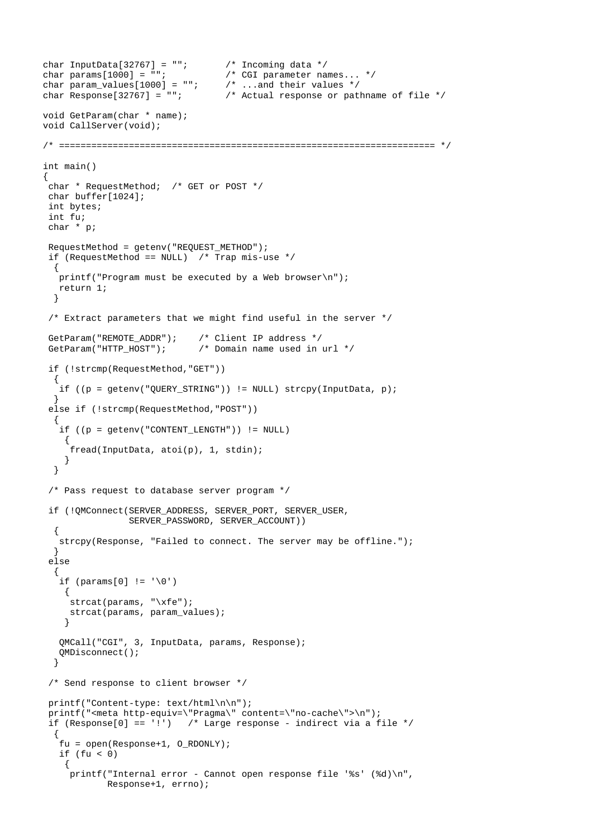```
char InputData[32767] = ""; \frac{1}{2} /* Incoming data */<br>char params[1000] = ""; /* CGI parameter na
                                      /* CGI parameter names... */<br>/* ...and their values */
char param_values [1000] = "";<br>char Response [32767] = "";/* Actual response or pathname of file */void GetParam(char * name); 
void CallServer(void); 
/* ====================================================================== */ 
int main() 
{ 
  char * RequestMethod; /* GET or POST */ 
  char buffer[1024]; 
  int bytes; 
  int fu; 
  char * p; 
  RequestMethod = getenv("REQUEST_METHOD"); 
 if (RequestMethod == NULL) /* Trap mis-use */
   { 
    printf("Program must be executed by a Web browser\n"); 
    return 1; 
   } 
  /* Extract parameters that we might find useful in the server */ 
 GetParam("REMOTE_ADDR"); /* Client IP address */
 GetParam("HTTP_HOST"); \qquad /* Domain name used in url */
  if (!strcmp(RequestMethod,"GET")) 
  \left\{ \right. if ((p = getenv("QUERY_STRING")) != NULL) strcpy(InputData, p); 
 } 
  else if (!strcmp(RequestMethod,"POST")) 
   { 
    if ((p = getenv("CONTENT_LENGTH")) != NULL) 
     { 
      fread(InputData, atoi(p), 1, stdin); 
     } 
   } 
  /* Pass request to database server program */ 
  if (!QMConnect(SERVER_ADDRESS, SERVER_PORT, SERVER_USER, 
                   SERVER_PASSWORD, SERVER_ACCOUNT)) 
   { 
   .<br>strcpy(Response, "Failed to connect. The server may be offline.");
   } 
  else 
   { 
   if (params[0] != '\0') { 
      strcat(params, "\xfe"); 
      strcat(params, param_values); 
     } 
    QMCall("CGI", 3, InputData, params, Response); 
    QMDisconnect(); 
   } 
  /* Send response to client browser */ 
  printf("Content-type: text/html\n\n"); 
  printf("<meta http-equiv=\"Pragma\" content=\"no-cache\">\n"); 
  if (Response[0] == '!') /* Large response - indirect via a file */ 
\{ fu = open(Response+1, O_RDONLY); 
    if (fu < 0) 
     { 
      printf("Internal error - Cannot open response file '%s' (%d)\n", 
              Response+1, errno);
```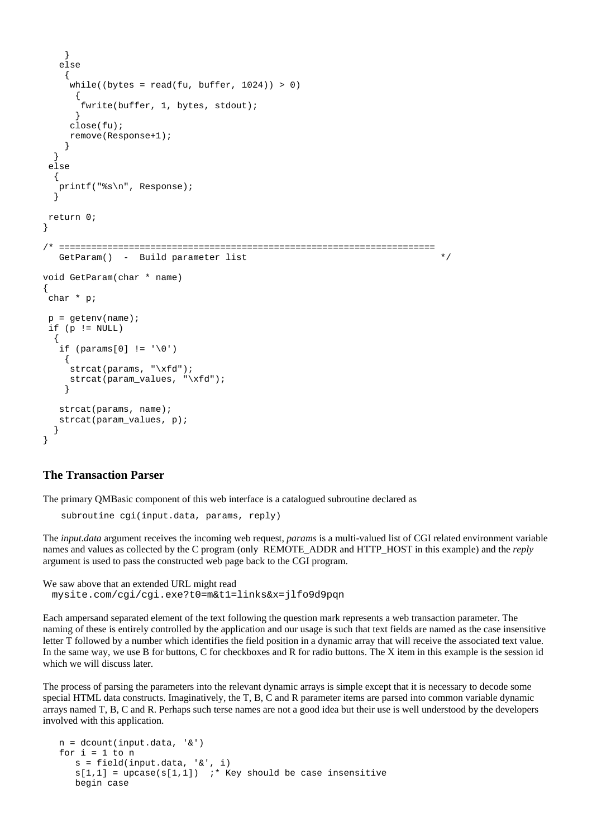```
 } 
    else 
     { 
     .<br>while((bytes = read(fu, buffer, 1024)) > 0)
       { 
        fwrite(buffer, 1, bytes, stdout); 
       } 
      close(fu); 
      remove(Response+1); 
     } 
   } 
  else 
   { 
    printf("%s\n", Response); 
   } 
 return 0; 
} 
/* ====================================================================== 
   GetParam() - Build parameter list \star/void GetParam(char * name) 
{ 
 char * p; 
p = getenv(name);if (p != NULL) { 
   if (params[0] != '\0') { 
      strcat(params, "\xfd"); 
      strcat(param_values, "\xfd"); 
     } 
    strcat(params, name); 
    strcat(param_values, p); 
 } 
}
```
# **The Transaction Parser**

The primary QMBasic component of this web interface is a catalogued subroutine declared as

```
subroutine cgi(input.data, params, reply)
```
The *input.data* argument receives the incoming web request, *params* is a multi-valued list of CGI related environment variable names and values as collected by the C program (only REMOTE\_ADDR and HTTP\_HOST in this example) and the *reply* argument is used to pass the constructed web page back to the CGI program.

We saw above that an extended URL might read mysite.com/cgi/cgi.exe?t0=m&t1=links&x=jlfo9d9pqn

Each ampersand separated element of the text following the question mark represents a web transaction parameter. The naming of these is entirely controlled by the application and our usage is such that text fields are named as the case insensitive letter T followed by a number which identifies the field position in a dynamic array that will receive the associated text value. In the same way, we use B for buttons, C for checkboxes and R for radio buttons. The X item in this example is the session id which we will discuss later.

The process of parsing the parameters into the relevant dynamic arrays is simple except that it is necessary to decode some special HTML data constructs. Imaginatively, the T, B, C and R parameter items are parsed into common variable dynamic arrays named T, B, C and R. Perhaps such terse names are not a good idea but their use is well understood by the developers involved with this application.

```
n = dcount(input.data, '&')for i = 1 to ns = field(input.data, '&', i)s[1,1] = upcase(s[1,1]) ;* Key should be case insensitive
   begin case
```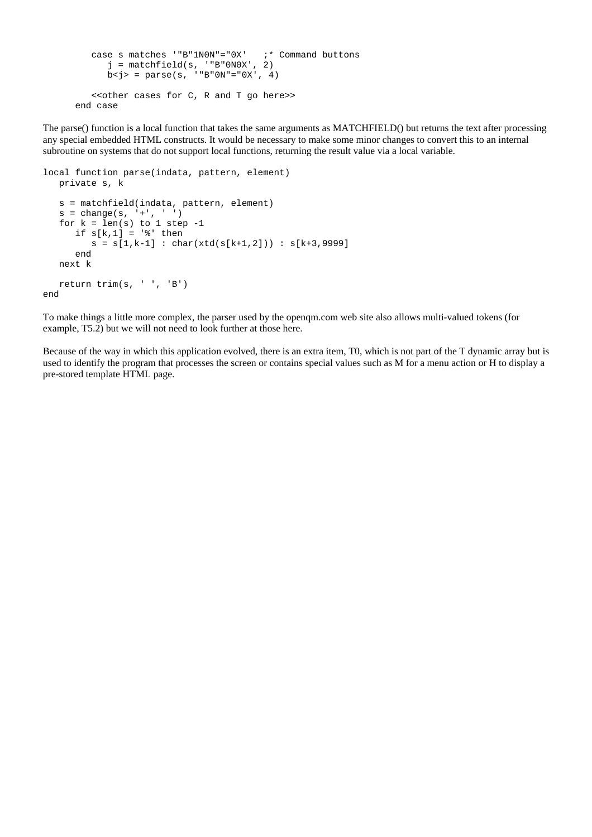```
case s matches "B"1N0N" = "0X" ;* Command buttons
      j = matchfield(s, ' "B"0N0X', 2)b < j > = p</math>arse(s, ' "B"0N" = "0X', 4) <<other cases for C, R and T go here>> 
 end case
```
The parse() function is a local function that takes the same arguments as MATCHFIELD() but returns the text after processing any special embedded HTML constructs. It would be necessary to make some minor changes to convert this to an internal subroutine on systems that do not support local functions, returning the result value via a local variable.

```
local function parse(indata, pattern, element) 
   private s, k 
   s = matchfield(indata, pattern, element) 
   s = change(s, ' +', ' ''))for k = len(s) to 1 step -1if s[k,1] = '%' then
        s = s[1, k-1] : char(xtd(s[k+1,2])) : s[k+3,9999]
       end 
   next k 
   return trim(s, ' ', 'B') 
end
```
To make things a little more complex, the parser used by the openqm.com web site also allows multi-valued tokens (for example, T5.2) but we will not need to look further at those here.

Because of the way in which this application evolved, there is an extra item, T0, which is not part of the T dynamic array but is used to identify the program that processes the screen or contains special values such as M for a menu action or H to display a pre-stored template HTML page.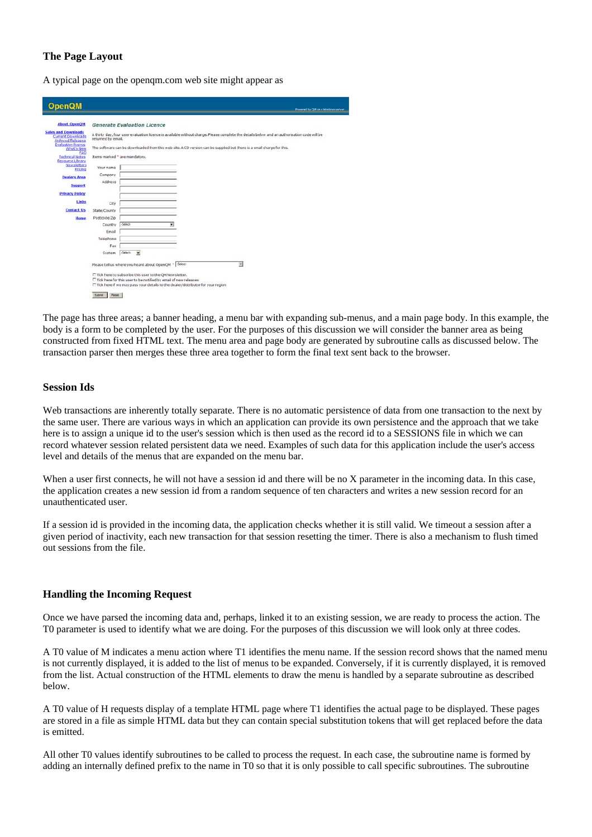## **The Page Layout**

A typical page on the openqm.com web site might appear as

| <b>OpenQM</b>                                                                      |                                                                                                                                                                   |                               |                                                       |  |                          | Powered by QM on a Windows ( |
|------------------------------------------------------------------------------------|-------------------------------------------------------------------------------------------------------------------------------------------------------------------|-------------------------------|-------------------------------------------------------|--|--------------------------|------------------------------|
| <b>About OpenOM</b>                                                                |                                                                                                                                                                   | Generate Evaluation Licence   |                                                       |  |                          |                              |
| <b>Sales and Downloads</b><br><b>Current Downloads</b><br><b>Archived Releases</b> | A thirty day, four user evaluation licence is available without charge. Please complete the details below and an authorisation code will be<br>returned by email. |                               |                                                       |  |                          |                              |
| <b>Evaluation licence</b><br>What's New<br>EAQ                                     | The software can be downloaded from this web site. A CD version can be supplied but there is a small charge for this.                                             |                               |                                                       |  |                          |                              |
| <b>Technical Notes</b><br>Resource Library                                         |                                                                                                                                                                   | Items marked " are mandatory. |                                                       |  |                          |                              |
| Newsletters<br>Pricing                                                             | Your name                                                                                                                                                         |                               |                                                       |  |                          |                              |
| <b>Dealers Area</b>                                                                | Company                                                                                                                                                           |                               |                                                       |  |                          |                              |
| <b>Support</b>                                                                     | Address                                                                                                                                                           |                               |                                                       |  |                          |                              |
| <b>Privacy Policy</b>                                                              |                                                                                                                                                                   |                               |                                                       |  |                          |                              |
| Links                                                                              | City                                                                                                                                                              |                               |                                                       |  |                          |                              |
| <b>Contact Us</b>                                                                  | State/County                                                                                                                                                      |                               |                                                       |  |                          |                              |
| <b>Home</b>                                                                        | Postcode/Zip                                                                                                                                                      |                               |                                                       |  |                          |                              |
|                                                                                    | Country                                                                                                                                                           | -Select-                      | $\overline{\mathbf{v}}$                               |  |                          |                              |
|                                                                                    | Email                                                                                                                                                             |                               |                                                       |  |                          |                              |
|                                                                                    | Telephone                                                                                                                                                         |                               |                                                       |  |                          |                              |
|                                                                                    | Fax                                                                                                                                                               |                               |                                                       |  |                          |                              |
|                                                                                    | System                                                                                                                                                            | -Salect-<br>$\blacksquare$    |                                                       |  |                          |                              |
|                                                                                    |                                                                                                                                                                   |                               | Please tell us where you heard about OpenQM * Select- |  | $\overline{\mathcal{X}}$ |                              |
|                                                                                    | E Tick here to subscribe this user to the OM Newsletter.                                                                                                          |                               |                                                       |  |                          |                              |
|                                                                                    | IT Tick here for this user to be notified by email of new releases                                                                                                |                               |                                                       |  |                          |                              |
|                                                                                    | T Tick here if we may pass your details to the dealer/distributor for your region                                                                                 |                               |                                                       |  |                          |                              |

The page has three areas; a banner heading, a menu bar with expanding sub-menus, and a main page body. In this example, the body is a form to be completed by the user. For the purposes of this discussion we will consider the banner area as being constructed from fixed HTML text. The menu area and page body are generated by subroutine calls as discussed below. The transaction parser then merges these three area together to form the final text sent back to the browser.

### **Session Ids**

Web transactions are inherently totally separate. There is no automatic persistence of data from one transaction to the next by the same user. There are various ways in which an application can provide its own persistence and the approach that we take here is to assign a unique id to the user's session which is then used as the record id to a SESSIONS file in which we can record whatever session related persistent data we need. Examples of such data for this application include the user's access level and details of the menus that are expanded on the menu bar.

When a user first connects, he will not have a session id and there will be no X parameter in the incoming data. In this case, the application creates a new session id from a random sequence of ten characters and writes a new session record for an unauthenticated user.

If a session id is provided in the incoming data, the application checks whether it is still valid. We timeout a session after a given period of inactivity, each new transaction for that session resetting the timer. There is also a mechanism to flush timed out sessions from the file.

## **Handling the Incoming Request**

Once we have parsed the incoming data and, perhaps, linked it to an existing session, we are ready to process the action. The T0 parameter is used to identify what we are doing. For the purposes of this discussion we will look only at three codes.

A T0 value of M indicates a menu action where T1 identifies the menu name. If the session record shows that the named menu is not currently displayed, it is added to the list of menus to be expanded. Conversely, if it is currently displayed, it is removed from the list. Actual construction of the HTML elements to draw the menu is handled by a separate subroutine as described below.

A T0 value of H requests display of a template HTML page where T1 identifies the actual page to be displayed. These pages are stored in a file as simple HTML data but they can contain special substitution tokens that will get replaced before the data is emitted.

All other T0 values identify subroutines to be called to process the request. In each case, the subroutine name is formed by adding an internally defined prefix to the name in T0 so that it is only possible to call specific subroutines. The subroutine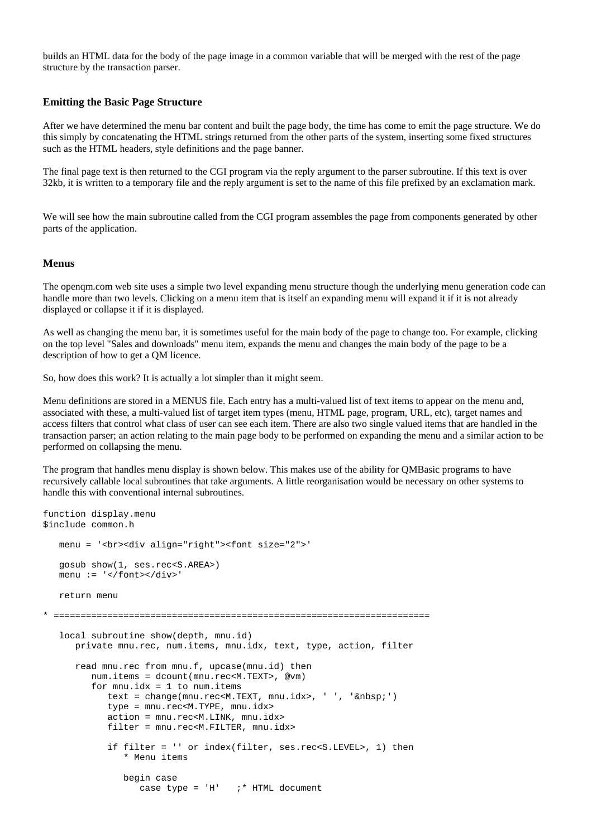builds an HTML data for the body of the page image in a common variable that will be merged with the rest of the page structure by the transaction parser.

#### **Emitting the Basic Page Structure**

After we have determined the menu bar content and built the page body, the time has come to emit the page structure. We do this simply by concatenating the HTML strings returned from the other parts of the system, inserting some fixed structures such as the HTML headers, style definitions and the page banner.

The final page text is then returned to the CGI program via the reply argument to the parser subroutine. If this text is over 32kb, it is written to a temporary file and the reply argument is set to the name of this file prefixed by an exclamation mark.

We will see how the main subroutine called from the CGI program assembles the page from components generated by other parts of the application.

#### **Menus**

The openqm.com web site uses a simple two level expanding menu structure though the underlying menu generation code can handle more than two levels. Clicking on a menu item that is itself an expanding menu will expand it if it is not already displayed or collapse it if it is displayed.

As well as changing the menu bar, it is sometimes useful for the main body of the page to change too. For example, clicking on the top level "Sales and downloads" menu item, expands the menu and changes the main body of the page to be a description of how to get a QM licence.

So, how does this work? It is actually a lot simpler than it might seem.

Menu definitions are stored in a MENUS file. Each entry has a multi-valued list of text items to appear on the menu and, associated with these, a multi-valued list of target item types (menu, HTML page, program, URL, etc), target names and access filters that control what class of user can see each item. There are also two single valued items that are handled in the transaction parser; an action relating to the main page body to be performed on expanding the menu and a similar action to be performed on collapsing the menu.

The program that handles menu display is shown below. This makes use of the ability for QMBasic programs to have recursively callable local subroutines that take arguments. A little reorganisation would be necessary on other systems to handle this with conventional internal subroutines.

```
function display.menu 
$include common.h 
    menu = '<br><div align="right"><font size="2">' 
    gosub show(1, ses.rec<S.AREA>) 
    menu := '</font></div>' 
    return menu 
 * ====================================================================== 
   local subroutine show(depth, mnu.id)
       private mnu.rec, num.items, mnu.idx, text, type, action, filter 
       read mnu.rec from mnu.f, upcase(mnu.id) then 
          num.items = dcount(mnu.rec<M.TEXT>, @vm) 
         for mnu.idx = 1 to num.itemstext = change(mnu.rec<M.TEXT, mnu.idx>, ' ', '&nbsp;')
            type = mnu.rec<M.TYPE, mnu.idx>
             action = mnu.rec<M.LINK, mnu.idx> 
             filter = mnu.rec<M.FILTER, mnu.idx> 
             if filter = '' or index(filter, ses.rec<S.LEVEL>, 1) then 
                 * Menu items 
                begin case 
                  case type = 'H' ; * HTML document
```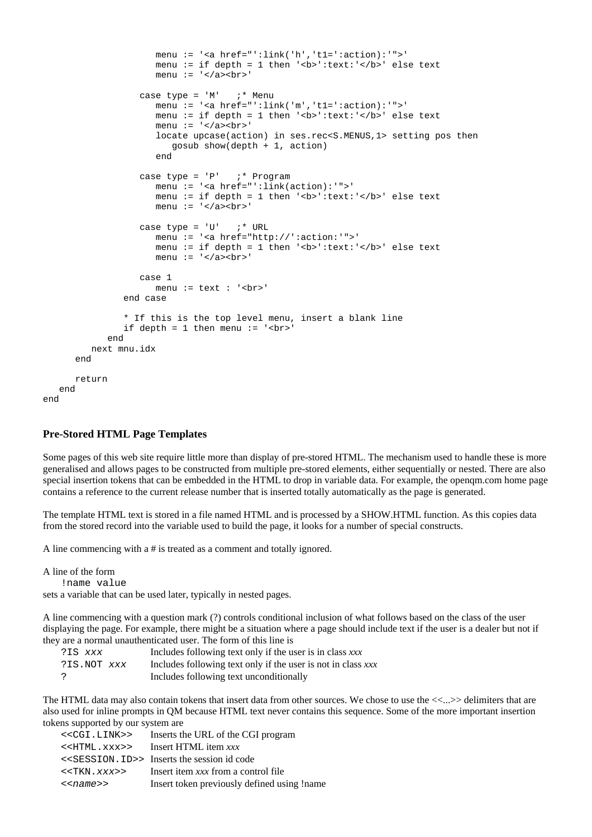```
 menu := '<a href="':link('h','t1=':action):'">' 
                        menu := if depth = 1 then '<b>':text:'</b>' else text
                        menu := '</a> <br/> \,
                     case type = 'M' ; * Menu
                         menu := '<a href="':link('m','t1=':action):'">' 
                        menu := if depth = 1 then '<b>':text:'</b>' else text
                        menu := '\lt/a>\ltbr>'
                         locate upcase(action) in ses.rec<S.MENUS,1> setting pos then 
                            gosub show(depth + 1, action) 
end and state of the state of the state of the state of the state of the state of the state of the state of the
                     case type = 'P' ; * Program
                         menu := '<a href="':link(action):'">' 
                        menu := if depth = 1 then '<b>':text:'</b>' else text
                        menu := '</a> <br>
                     case type = 'U' ; * URL
                         menu := '<a href="http://':action:'">' 
                        menu := if depth = 1 then '<b>':text:'</b>' else text
                        menu := '\langle/a>\langlebr>'
                      case 1 
                         menu := text : '<br>' 
                  end case 
                  * If this is the top level menu, insert a blank line 
                 if depth = 1 then menu := '<br>
              end 
           next mnu.idx 
       end 
       return 
    end
```
### **Pre-Stored HTML Page Templates**

Some pages of this web site require little more than display of pre-stored HTML. The mechanism used to handle these is more generalised and allows pages to be constructed from multiple pre-stored elements, either sequentially or nested. There are also special insertion tokens that can be embedded in the HTML to drop in variable data. For example, the openqm.com home page contains a reference to the current release number that is inserted totally automatically as the page is generated.

The template HTML text is stored in a file named HTML and is processed by a SHOW.HTML function. As this copies data from the stored record into the variable used to build the page, it looks for a number of special constructs.

A line commencing with a # is treated as a comment and totally ignored.

A line of the form

end

!name value

sets a variable that can be used later, typically in nested pages.

A line commencing with a question mark (?) controls conditional inclusion of what follows based on the class of the user displaying the page. For example, there might be a situation where a page should include text if the user is a dealer but not if they are a normal unauthenticated user. The form of this line is

| ?IS xxx     | Includes following text only if the user is in class xxx     |
|-------------|--------------------------------------------------------------|
| ?IS.NOT xxx | Includes following text only if the user is not in class xxx |
|             | Includes following text unconditionally                      |

The HTML data may also contain tokens that insert data from other sources. We chose to use the <<...>> delimiters that are also used for inline prompts in QM because HTML text never contains this sequence. Some of the more important insertion tokens supported by our system are

| < <cgi.link>&gt;</cgi.link> | Inserts the URL of the CGI program                            |
|-----------------------------|---------------------------------------------------------------|
| < <html.xxx>&gt;</html.xxx> | Insert HTML item xxx                                          |
|                             | < <session. id="">&gt; Inserts the session id code</session.> |
| < <tkn.xxx>&gt;</tkn.xxx>   | Insert item xxx from a control file                           |
| $<$ name>>                  | Insert token previously defined using !name                   |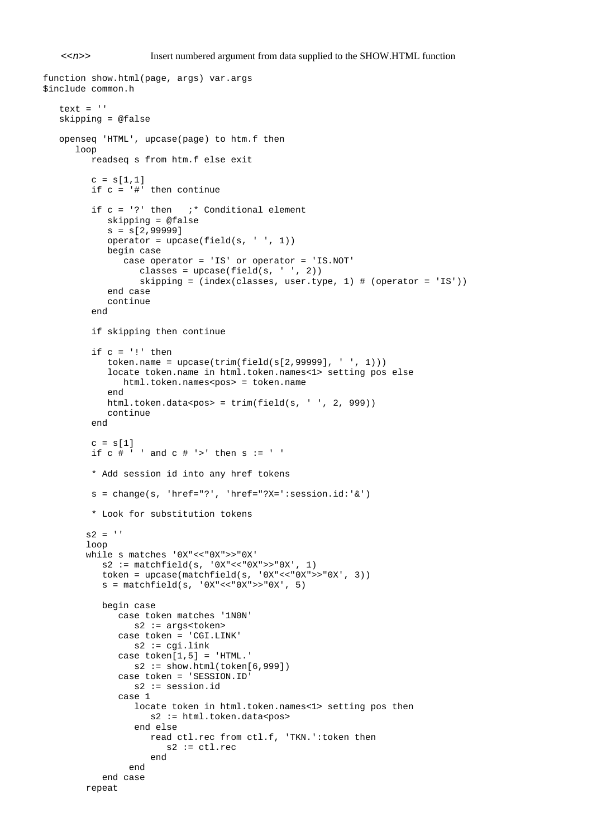<<*n*>> Insert numbered argument from data supplied to the SHOW.HTML function

```
function show.html(page, args) var.args 
$include common.h 
   text = '' skipping = @false 
    openseq 'HTML', upcase(page) to htm.f then 
       loop 
          readseq s from htm.f else exit 
         c = s[1,1] if c = '#' then continue 
         if c = '?' then '* Conditional element
             skipping = @false 
            s = s[2,99999]operator = upcase(field(s, ' ', 1)) begin case 
                case operator = 'IS' or operator = 'IS.NOT' 
                   classes = upcase(field(s, ' ', 2)) skipping = (index(classes, user.type, 1) # (operator = 'IS')) 
             end case 
             continue 
          end 
          if skipping then continue 
         if c = '!' then
            token.name = upcase(trim(field(s[2, 99999], ' ', 1))) locate token.name in html.token.names<1> setting pos else 
                html.token.names<pos> = token.name 
             end 
            html.token.data<pos> = trim(field(s, ' ', 2, 999))
             continue 
          end 
         c = s[1]if c \# ' ' and c \# ' >' then s := ' ' * Add session id into any href tokens 
          s = change(s, 'href="?', 'href="?X=':session.id:'&') 
          * Look for substitution tokens 
        s2 = ' loop 
         while s matches '0X"<<"0X">>"0X' 
           s2 := \text{matchfield}(s, '0X"<< "0X">> "0X', 1) token = upcase(matchfield(s, '0X"<<"0X">>"0X', 3)) 
           s = matchfield(s, '0X"<< "0X">> "0X', 5) begin case 
               case token matches '1N0N' 
                  s2 := args<token> 
               case token = 'CGI.LINK' 
                 s2 := cgi.linkcase token[1,5] = 'HTML.'s2 := show.html(token[6,999]) case token = 'SESSION.ID' 
                  s2 := session.id 
               case 1 
                  locate token in html.token.names<1> setting pos then 
                    s2 := html.token.data<pos>
                   end else 
                     read ctl.rec from ctl.f, 'TKN.':token then 
                        s2 := ct1.rec end 
                 end 
            end case 
         repeat
```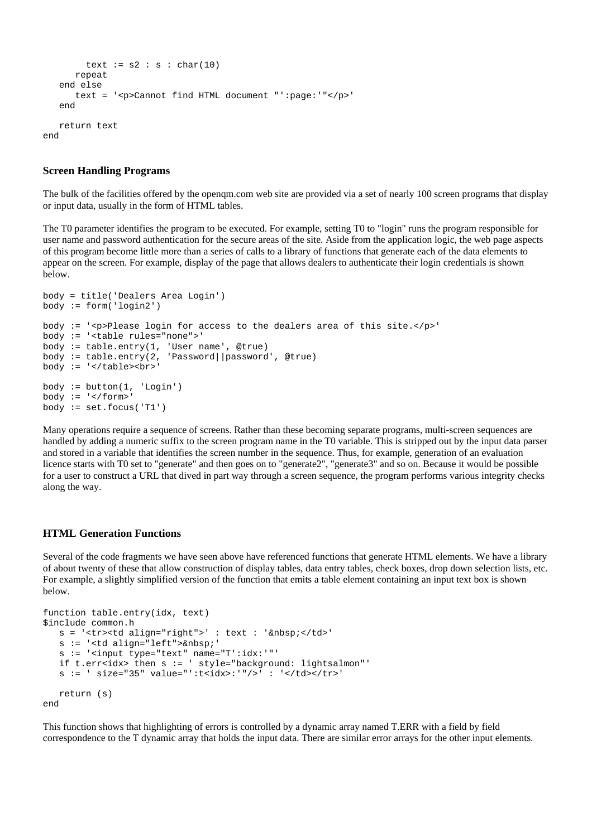```
text := s2 : s : char(10) repeat 
    end else 
       text = '<p>Cannot find HTML document "':page:'"</p>' 
    end 
    return text 
end
```
### **Screen Handling Programs**

The bulk of the facilities offered by the openqm.com web site are provided via a set of nearly 100 screen programs that display or input data, usually in the form of HTML tables.

The T0 parameter identifies the program to be executed. For example, setting T0 to "login" runs the program responsible for user name and password authentication for the secure areas of the site. Aside from the application logic, the web page aspects of this program become little more than a series of calls to a library of functions that generate each of the data elements to appear on the screen. For example, display of the page that allows dealers to authenticate their login credentials is shown below.

```
body = title('Dealers Area Login') 
body := form('login2') 
body := '<p>Please login for access to the dealers area of this site.</p>' 
body := '<table rules="none">' 
body := table.entry(1, 'User name', @true) 
body := table.entry(2, 'Password||password', @true) 
body := '<<table><br>body := button(1, 'Login')body := '</form>'
body := set. focus ('T1')
```
Many operations require a sequence of screens. Rather than these becoming separate programs, multi-screen sequences are handled by adding a numeric suffix to the screen program name in the T0 variable. This is stripped out by the input data parser and stored in a variable that identifies the screen number in the sequence. Thus, for example, generation of an evaluation licence starts with T0 set to "generate" and then goes on to "generate2", "generate3" and so on. Because it would be possible for a user to construct a URL that dived in part way through a screen sequence, the program performs various integrity checks along the way.

### **HTML Generation Functions**

Several of the code fragments we have seen above have referenced functions that generate HTML elements. We have a library of about twenty of these that allow construction of display tables, data entry tables, check boxes, drop down selection lists, etc. For example, a slightly simplified version of the function that emits a table element containing an input text box is shown below.

```
function table.entry(idx, text) 
$include common.h 
   s = '<tr><td align="right">' : text : '&nbsp;</td>'
   s := '<td align="left">&nbsp;'
 s := '<input type="text" name="T':idx:'"' 
 if t.err<idx> then s := ' style="background: lightsalmon"' 
    s := ' size="35" value="':t<idx>:'"/>' : '</td></tr>' 
    return (s) 
end
```
This function shows that highlighting of errors is controlled by a dynamic array named T.ERR with a field by field correspondence to the T dynamic array that holds the input data. There are similar error arrays for the other input elements.